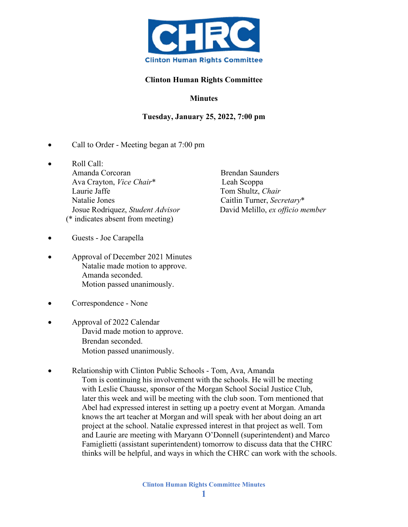

## **Clinton Human Rights Committee**

## **Minutes**

## **Tuesday, January 25, 2022, 7:00 pm**

- Call to Order Meeting began at 7:00 pm
- Roll Call: Amanda Corcoran Brendan Saunders Ava Crayton, *Vice Chair*\* Leah Scoppa Laurie Jaffe Tom Shultz, *Chair* Natalie Jones Caitlin Turner, *Secretary*\* Josue Rodriquez, *Student Advisor* David Melillo, *ex officio member* (\* indicates absent from meeting)
- Guests Joe Carapella
- Approval of December 2021 Minutes Natalie made motion to approve. Amanda seconded. Motion passed unanimously.
- Correspondence None
- Approval of 2022 Calendar David made motion to approve. Brendan seconded. Motion passed unanimously.
- Relationship with Clinton Public Schools Tom, Ava, Amanda Tom is continuing his involvement with the schools. He will be meeting with Leslie Chausse, sponsor of the Morgan School Social Justice Club, later this week and will be meeting with the club soon. Tom mentioned that Abel had expressed interest in setting up a poetry event at Morgan. Amanda knows the art teacher at Morgan and will speak with her about doing an art project at the school. Natalie expressed interest in that project as well. Tom and Laurie are meeting with Maryann O'Donnell (superintendent) and Marco Famiglietti (assistant superintendent) tomorrow to discuss data that the CHRC thinks will be helpful, and ways in which the CHRC can work with the schools.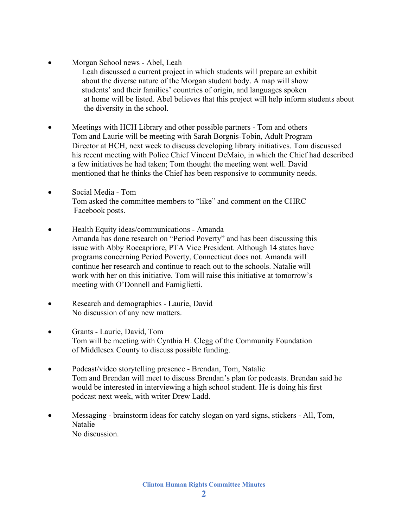• Morgan School news - Abel, Leah

 Leah discussed a current project in which students will prepare an exhibit about the diverse nature of the Morgan student body. A map will show students' and their families' countries of origin, and languages spoken at home will be listed. Abel believes that this project will help inform students about the diversity in the school.

- Meetings with HCH Library and other possible partners Tom and others Tom and Laurie will be meeting with Sarah Borgnis-Tobin, Adult Program Director at HCH, next week to discuss developing library initiatives. Tom discussed his recent meeting with Police Chief Vincent DeMaio, in which the Chief had described a few initiatives he had taken; Tom thought the meeting went well. David mentioned that he thinks the Chief has been responsive to community needs.
- Social Media Tom Tom asked the committee members to "like" and comment on the CHRC Facebook posts.
- Health Equity ideas/communications Amanda Amanda has done research on "Period Poverty" and has been discussing this issue with Abby Roccapriore, PTA Vice President. Although 14 states have programs concerning Period Poverty, Connecticut does not. Amanda will continue her research and continue to reach out to the schools. Natalie will work with her on this initiative. Tom will raise this initiative at tomorrow's meeting with O'Donnell and Famiglietti.
- Research and demographics Laurie, David No discussion of any new matters.
- Grants Laurie, David, Tom Tom will be meeting with Cynthia H. Clegg of the Community Foundation of Middlesex County to discuss possible funding.
- Podcast/video storytelling presence Brendan, Tom, Natalie Tom and Brendan will meet to discuss Brendan's plan for podcasts. Brendan said he would be interested in interviewing a high school student. He is doing his first podcast next week, with writer Drew Ladd.
- Messaging brainstorm ideas for catchy slogan on yard signs, stickers All, Tom, Natalie No discussion.